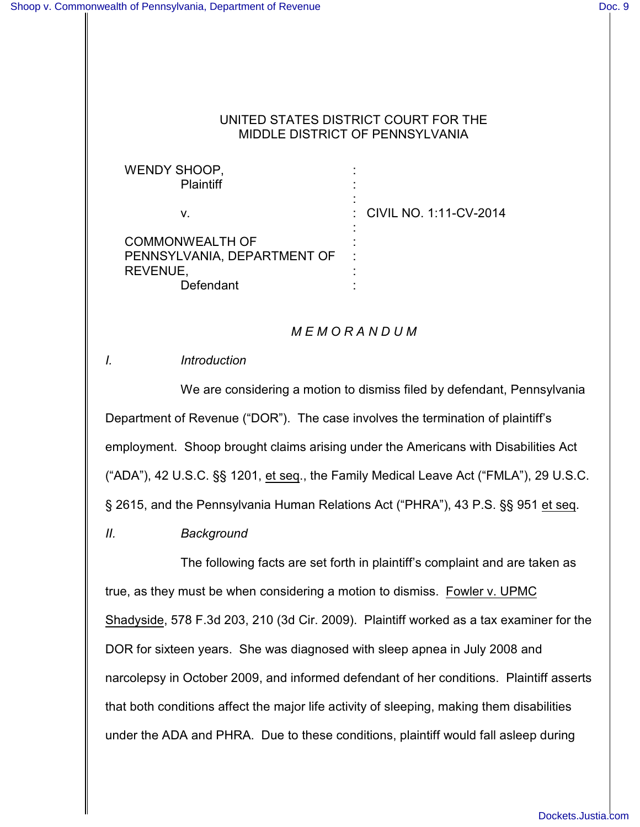### UNITED STATES DISTRICT COURT FOR THE MIDDLE DISTRICT OF PENNSYLVANIA

WENDY SHOOP, **Plaintiff** v. COMMONWEALTH OF PENNSYLVANIA, DEPARTMENT OF REVENUE, Defendant : : : : CIVIL NO. 1:11-CV-2014 : : : : :

# *M E M O R A N D U M*

## *I. Introduction*

We are considering a motion to dismiss filed by defendant, Pennsylvania Department of Revenue ("DOR"). The case involves the termination of plaintiff's employment. Shoop brought claims arising under the Americans with Disabilities Act ("ADA"), 42 U.S.C. §§ 1201, et seq., the Family Medical Leave Act ("FMLA"), 29 U.S.C. § 2615, and the Pennsylvania Human Relations Act ("PHRA"), 43 P.S. §§ 951 et seq.

*II. Background*

The following facts are set forth in plaintiff's complaint and are taken as true, as they must be when considering a motion to dismiss. Fowler v. UPMC Shadyside, 578 F.3d 203, 210 (3d Cir. 2009). Plaintiff worked as a tax examiner for the DOR for sixteen years. She was diagnosed with sleep apnea in July 2008 and narcolepsy in October 2009, and informed defendant of her conditions. Plaintiff asserts that both conditions affect the major life activity of sleeping, making them disabilities under the ADA and PHRA. Due to these conditions, plaintiff would fall asleep during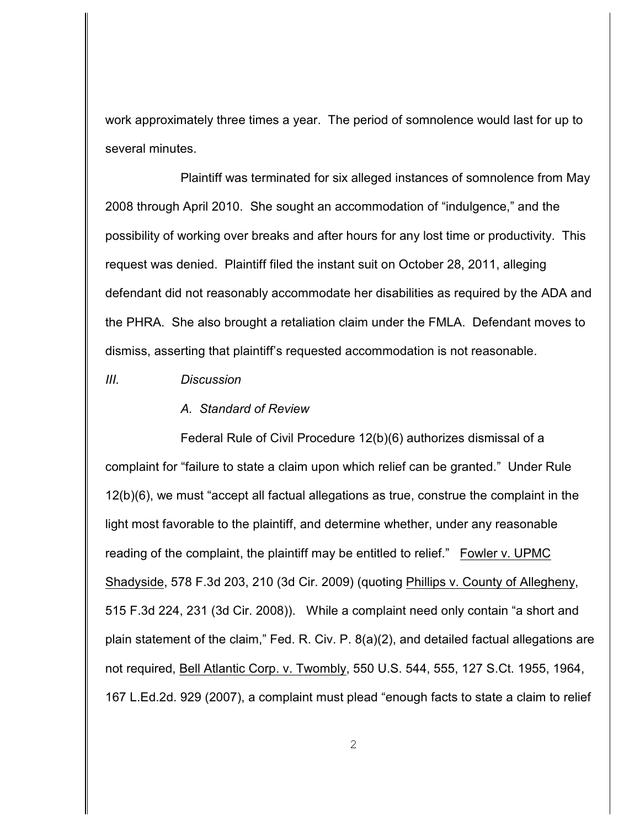work approximately three times a year. The period of somnolence would last for up to several minutes.

Plaintiff was terminated for six alleged instances of somnolence from May 2008 through April 2010.She sought an accommodation of "indulgence," and the possibility of working over breaks and after hours for any lost time or productivity. This request was denied. Plaintiff filed the instant suit on October 28, 2011, alleging defendant did not reasonably accommodate her disabilities as required by the ADA and the PHRA. She also brought a retaliation claim under the FMLA. Defendant moves to dismiss, asserting that plaintiff's requested accommodation is not reasonable.

*III. Discussion*

#### *A. Standard of Review*

Federal Rule of Civil Procedure 12(b)(6) authorizes dismissal of a complaint for "failure to state a claim upon which relief can be granted." Under Rule 12(b)(6), we must "accept all factual allegations as true, construe the complaint in the light most favorable to the plaintiff, and determine whether, under any reasonable reading of the complaint, the plaintiff may be entitled to relief." Fowler v. UPMC Shadyside, 578 F.3d 203, 210 (3d Cir. 2009) (quoting Phillips v. County of Allegheny, 515 F.3d 224, 231 (3d Cir. 2008)). While a complaint need only contain "a short and plain statement of the claim," Fed. R. Civ. P. 8(a)(2), and detailed factual allegations are not required, Bell Atlantic Corp. v. Twombly, 550 U.S. 544, 555, 127 S.Ct. 1955, 1964, 167 L.Ed.2d. 929 (2007), a complaint must plead "enough facts to state a claim to relief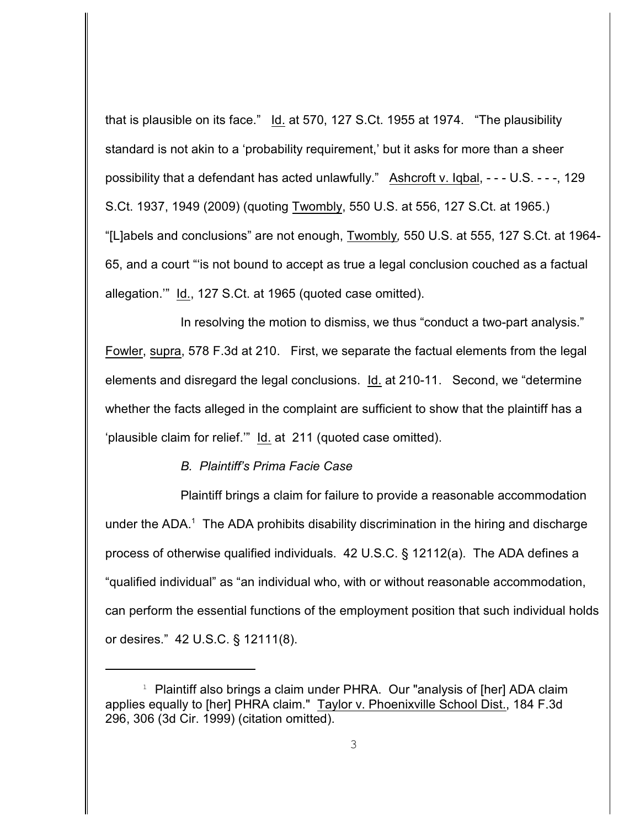that is plausible on its face."  $\underline{Id}$ . at 570, 127 S.Ct. 1955 at 1974. "The plausibility standard is not akin to a 'probability requirement,' but it asks for more than a sheer possibility that a defendant has acted unlawfully." Ashcroft v. Iqbal, - - - U.S. - - -, 129 S.Ct. 1937, 1949 (2009) (quoting Twombly, 550 U.S. at 556, 127 S.Ct. at 1965.) "[L]abels and conclusions" are not enough, Twombly*,* 550 U.S. at 555, 127 S.Ct. at 1964- 65, and a court "'is not bound to accept as true a legal conclusion couched as a factual allegation.'" Id., 127 S.Ct. at 1965 (quoted case omitted).

In resolving the motion to dismiss, we thus "conduct a two-part analysis." Fowler, supra, 578 F.3d at 210. First, we separate the factual elements from the legal elements and disregard the legal conclusions. Id. at 210-11. Second, we "determine whether the facts alleged in the complaint are sufficient to show that the plaintiff has a 'plausible claim for relief.'" Id. at 211 (quoted case omitted).

### *B. Plaintiff's Prima Facie Case*

Plaintiff brings a claim for failure to provide a reasonable accommodation under the ADA.<sup>1</sup> The ADA prohibits disability discrimination in the hiring and discharge process of otherwise qualified individuals. 42 U.S.C. § 12112(a). The ADA defines a "qualified individual" as "an individual who, with or without reasonable accommodation, can perform the essential functions of the employment position that such individual holds or desires." 42 U.S.C. § 12111(8).

 $1$  Plaintiff also brings a claim under PHRA. Our "analysis of [her] ADA claim applies equally to [her] PHRA claim." Taylor v. Phoenixville School Dist., 184 F.3d 296, 306 (3d Cir. 1999) (citation omitted).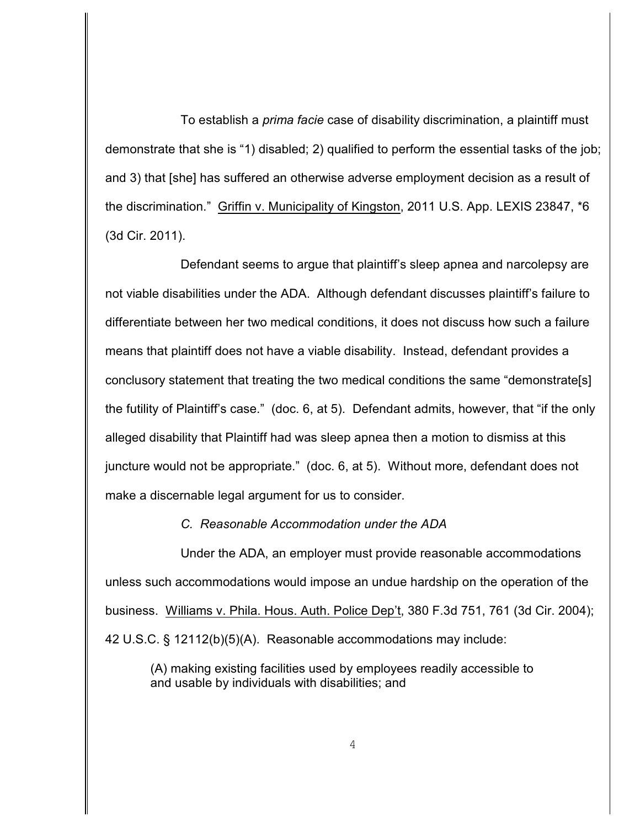To establish a *prima facie* case of disability discrimination, a plaintiff must demonstrate that she is "1) disabled; 2) qualified to perform the essential tasks of the job; and 3) that [she] has suffered an otherwise adverse employment decision as a result of the discrimination." Griffin v. Municipality of Kingston, 2011 U.S. App. LEXIS 23847, \*6 (3d Cir. 2011).

Defendant seems to argue that plaintiff's sleep apnea and narcolepsy are not viable disabilities under the ADA. Although defendant discusses plaintiff's failure to differentiate between her two medical conditions, it does not discuss how such a failure means that plaintiff does not have a viable disability. Instead, defendant provides a conclusory statement that treating the two medical conditions the same "demonstrate[s] the futility of Plaintiff's case." (doc. 6, at 5). Defendant admits, however, that "if the only alleged disability that Plaintiff had was sleep apnea then a motion to dismiss at this juncture would not be appropriate." (doc. 6, at 5). Without more, defendant does not make a discernable legal argument for us to consider.

*C. Reasonable Accommodation under the ADA*

Under the ADA, an employer must provide reasonable accommodations unless such accommodations would impose an undue hardship on the operation of the business. Williams v. Phila. Hous. Auth. Police Dep't, 380 F.3d 751, 761 (3d Cir. 2004); 42 U.S.C. § 12112(b)(5)(A). Reasonable accommodations may include:

(A) making existing facilities used by employees readily accessible to and usable by individuals with disabilities; and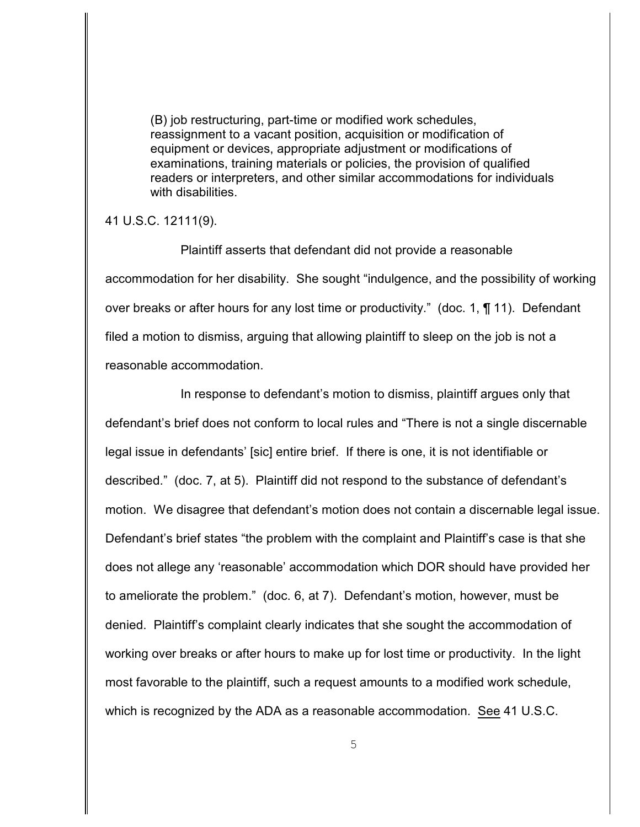(B) job restructuring, part-time or modified work schedules, reassignment to a vacant position, acquisition or modification of equipment or devices, appropriate adjustment or modifications of examinations, training materials or policies, the provision of qualified readers or interpreters, and other similar accommodations for individuals with disabilities.

41 U.S.C. 12111(9).

Plaintiff asserts that defendant did not provide a reasonable accommodation for her disability. She sought "indulgence, and the possibility of working over breaks or after hours for any lost time or productivity." (doc. 1, ¶ 11). Defendant filed a motion to dismiss, arguing that allowing plaintiff to sleep on the job is not a reasonable accommodation.

In response to defendant's motion to dismiss, plaintiff argues only that defendant's brief does not conform to local rules and "There is not a single discernable legal issue in defendants' [sic] entire brief. If there is one, it is not identifiable or described." (doc. 7, at 5). Plaintiff did not respond to the substance of defendant's motion. We disagree that defendant's motion does not contain a discernable legal issue. Defendant's brief states "the problem with the complaint and Plaintiff's case is that she does not allege any 'reasonable' accommodation which DOR should have provided her to ameliorate the problem." (doc. 6, at 7). Defendant's motion, however, must be denied. Plaintiff's complaint clearly indicates that she sought the accommodation of working over breaks or after hours to make up for lost time or productivity. In the light most favorable to the plaintiff, such a request amounts to a modified work schedule, which is recognized by the ADA as a reasonable accommodation. See 41 U.S.C.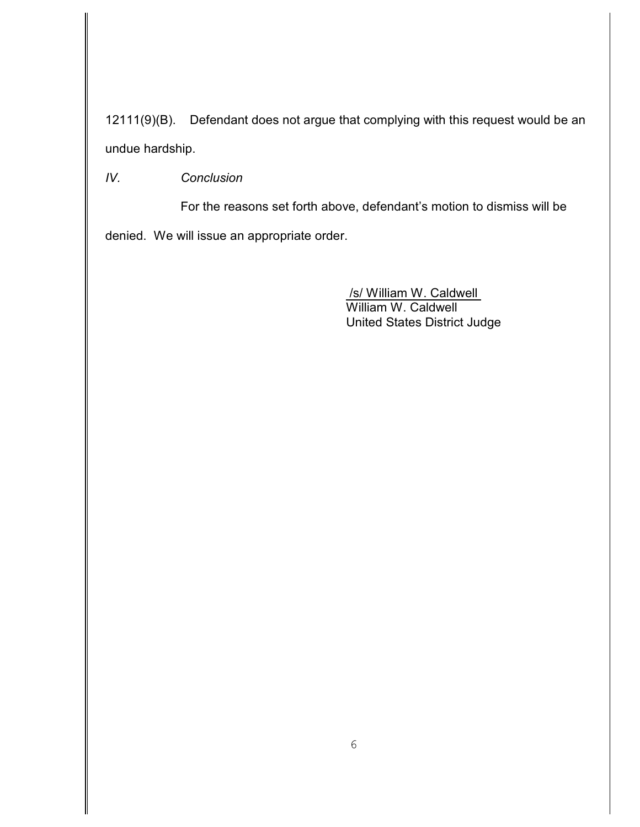12111(9)(B). Defendant does not argue that complying with this request would be an undue hardship.

*IV. Conclusion*

For the reasons set forth above, defendant's motion to dismiss will be denied. We will issue an appropriate order.

> /s/ William W. Caldwell William W. Caldwell United States District Judge